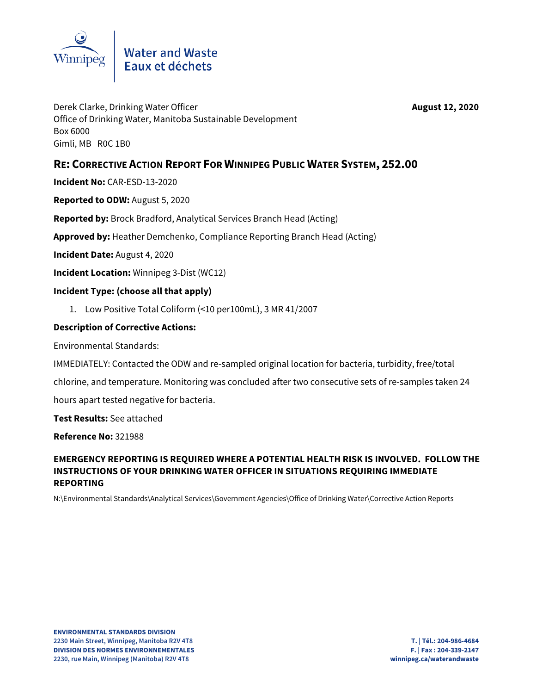

# Water and Waste<br>Eaux et déchets

Derek Clarke, Drinking Water Officer **August 12, 2020** Office of Drinking Water, Manitoba Sustainable Development Box 6000 Gimli, MB R0C 1B0

# **RE: CORRECTIVE ACTION REPORT FOR WINNIPEG PUBLIC WATER SYSTEM, 252.00**

**Incident No:** CAR-ESD-13-2020

**Reported to ODW:** August 5, 2020

**Reported by:** Brock Bradford, Analytical Services Branch Head (Acting)

**Approved by:** Heather Demchenko, Compliance Reporting Branch Head (Acting)

**Incident Date:** August 4, 2020

**Incident Location:** Winnipeg 3-Dist (WC12)

### **Incident Type: (choose all that apply)**

1. Low Positive Total Coliform (<10 per100mL), 3 MR 41/2007

#### **Description of Corrective Actions:**

Environmental Standards:

IMMEDIATELY: Contacted the ODW and re-sampled original location for bacteria, turbidity, free/total chlorine, and temperature. Monitoring was concluded after two consecutive sets of re-samples taken 24 hours apart tested negative for bacteria.

**Test Results:** See attached

**Reference No:** 321988

## **EMERGENCY REPORTING IS REQUIRED WHERE A POTENTIAL HEALTH RISK IS INVOLVED. FOLLOW THE INSTRUCTIONS OF YOUR DRINKING WATER OFFICER IN SITUATIONS REQUIRING IMMEDIATE REPORTING**

N:\Environmental Standards\Analytical Services\Government Agencies\Office of Drinking Water\Corrective Action Reports